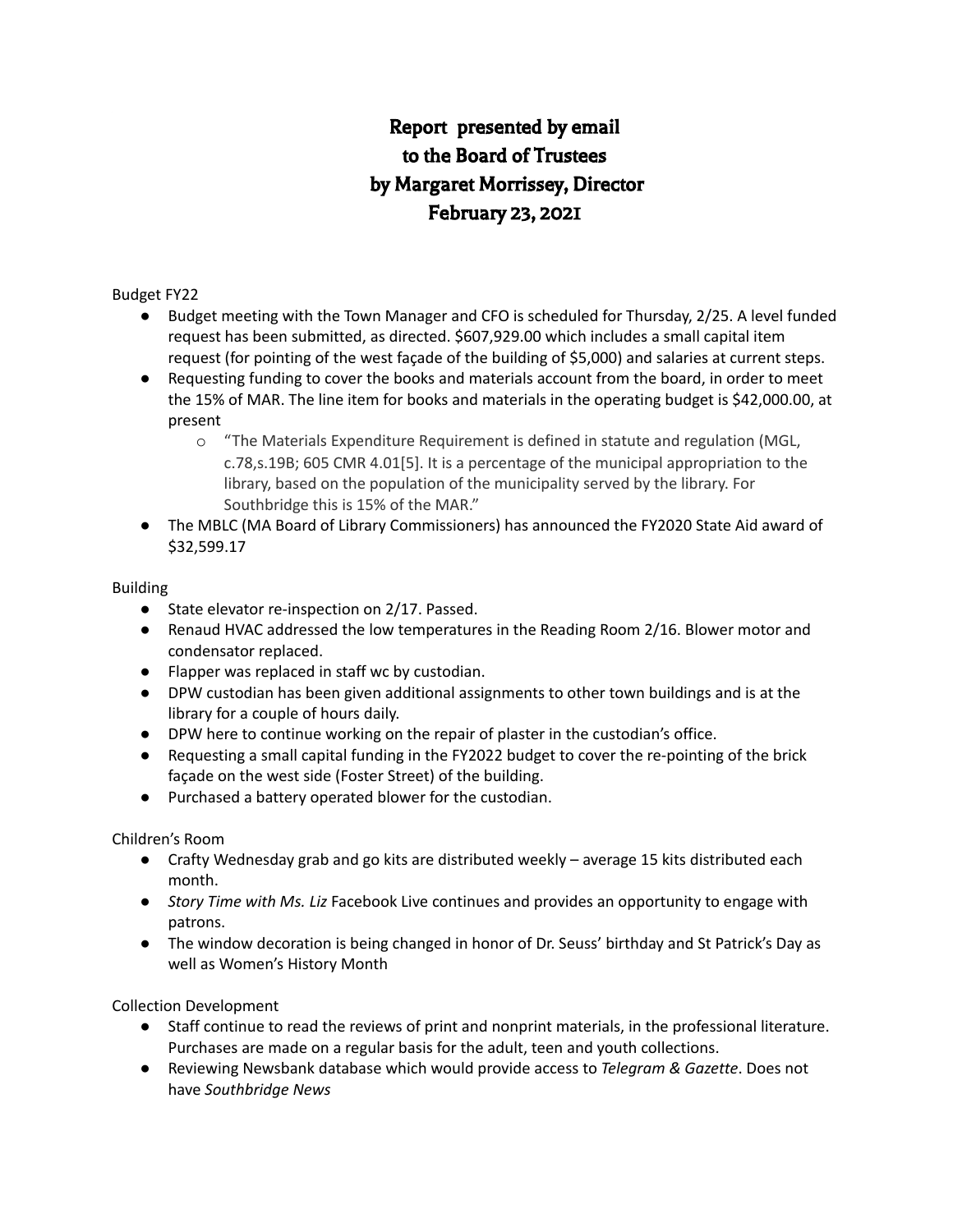# Report presented by email to the Board of Trustees by Margaret Morrissey, Director February 23, 2021

#### Budget FY22

- Budget meeting with the Town Manager and CFO is scheduled for Thursday, 2/25. A level funded request has been submitted, as directed. \$607,929.00 which includes a small capital item request (for pointing of the west façade of the building of \$5,000) and salaries at current steps.
- Requesting funding to cover the books and materials account from the board, in order to meet the 15% of MAR. The line item for books and materials in the operating budget is \$42,000.00, at present
	- o "The Materials Expenditure Requirement is defined in statute and regulation (MGL, c.78,s.19B; 605 CMR 4.01[5]. It is a percentage of the municipal appropriation to the library, based on the population of the municipality served by the library. For Southbridge this is 15% of the MAR."
- The MBLC (MA Board of Library Commissioners) has announced the FY2020 State Aid award of \$32,599.17

#### Building

- State elevator re-inspection on 2/17. Passed.
- Renaud HVAC addressed the low temperatures in the Reading Room 2/16. Blower motor and condensator replaced.
- Flapper was replaced in staff wc by custodian.
- DPW custodian has been given additional assignments to other town buildings and is at the library for a couple of hours daily.
- DPW here to continue working on the repair of plaster in the custodian's office.
- Requesting a small capital funding in the FY2022 budget to cover the re-pointing of the brick façade on the west side (Foster Street) of the building.
- Purchased a battery operated blower for the custodian.

### Children's Room

- Crafty Wednesday grab and go kits are distributed weekly average 15 kits distributed each month.
- *Story Time with Ms. Liz* Facebook Live continues and provides an opportunity to engage with patrons.
- The window decoration is being changed in honor of Dr. Seuss' birthday and St Patrick's Day as well as Women's History Month

### Collection Development

- Staff continue to read the reviews of print and nonprint materials, in the professional literature. Purchases are made on a regular basis for the adult, teen and youth collections.
- Reviewing Newsbank database which would provide access to *Telegram & Gazette*. Does not have *Southbridge News*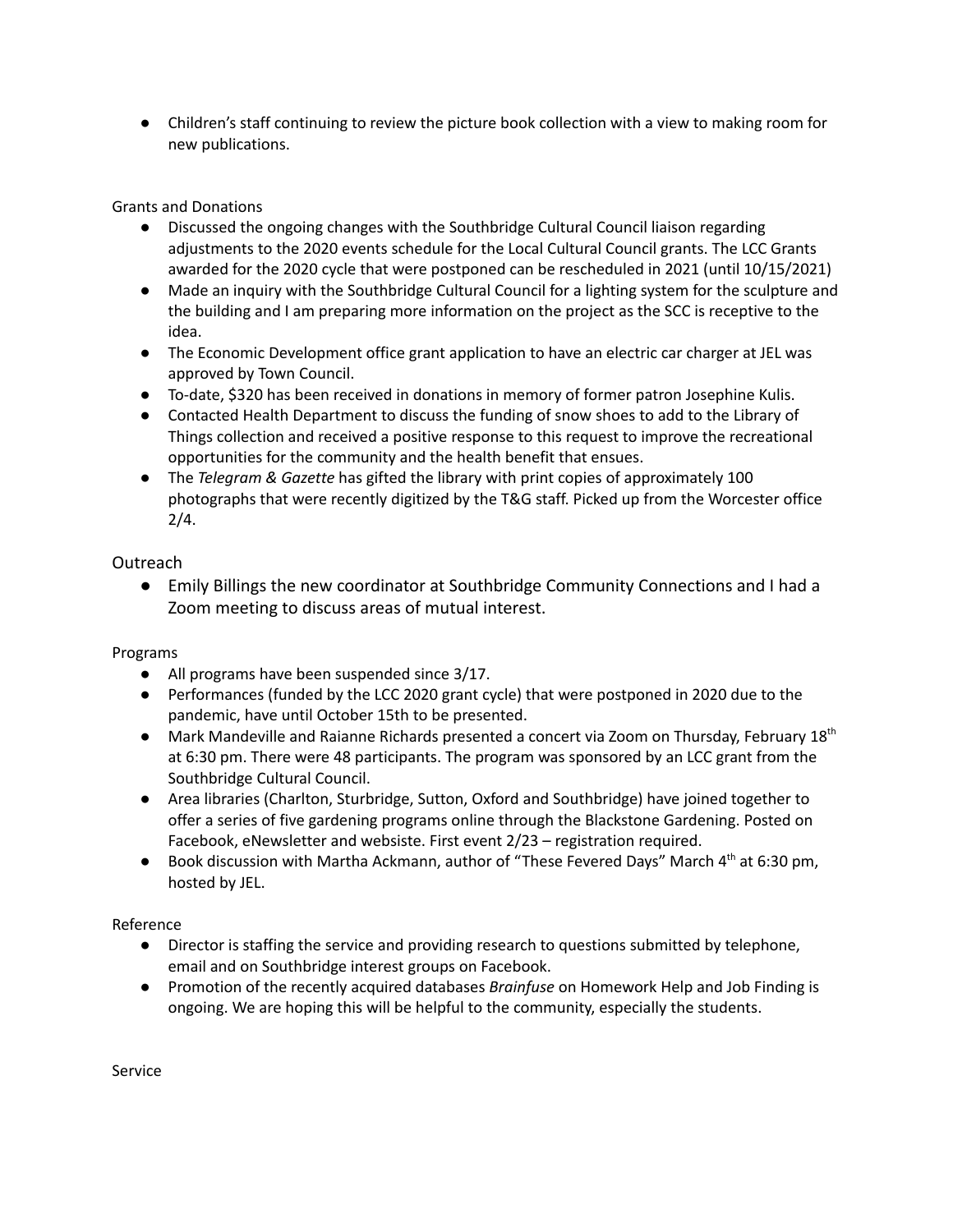● Children's staff continuing to review the picture book collection with a view to making room for new publications.

Grants and Donations

- Discussed the ongoing changes with the Southbridge Cultural Council liaison regarding adjustments to the 2020 events schedule for the Local Cultural Council grants. The LCC Grants awarded for the 2020 cycle that were postponed can be rescheduled in 2021 (until 10/15/2021)
- Made an inquiry with the Southbridge Cultural Council for a lighting system for the sculpture and the building and I am preparing more information on the project as the SCC is receptive to the idea.
- The Economic Development office grant application to have an electric car charger at JEL was approved by Town Council.
- To-date, \$320 has been received in donations in memory of former patron Josephine Kulis.
- Contacted Health Department to discuss the funding of snow shoes to add to the Library of Things collection and received a positive response to this request to improve the recreational opportunities for the community and the health benefit that ensues.
- The *Telegram & Gazette* has gifted the library with print copies of approximately 100 photographs that were recently digitized by the T&G staff. Picked up from the Worcester office 2/4.

Outreach

● Emily Billings the new coordinator at Southbridge Community Connections and I had a Zoom meeting to discuss areas of mutual interest.

Programs

- All programs have been suspended since 3/17.
- Performances (funded by the LCC 2020 grant cycle) that were postponed in 2020 due to the pandemic, have until October 15th to be presented.
- Mark Mandeville and Raianne Richards presented a concert via Zoom on Thursday, February 18<sup>th</sup> at 6:30 pm. There were 48 participants. The program was sponsored by an LCC grant from the Southbridge Cultural Council.
- Area libraries (Charlton, Sturbridge, Sutton, Oxford and Southbridge) have joined together to offer a series of five gardening programs online through the Blackstone Gardening. Posted on Facebook, eNewsletter and websiste. First event 2/23 – registration required.
- Book discussion with Martha Ackmann, author of "These Fevered Days" March 4<sup>th</sup> at 6:30 pm, hosted by JEL.

Reference

- Director is staffing the service and providing research to questions submitted by telephone, email and on Southbridge interest groups on Facebook.
- Promotion of the recently acquired databases *Brainfuse* on Homework Help and Job Finding is ongoing. We are hoping this will be helpful to the community, especially the students.

Service